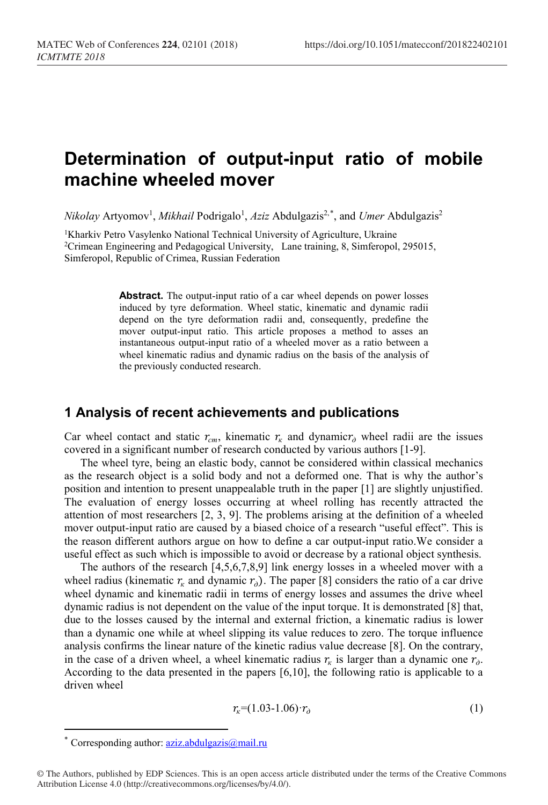# **Determination of output-input ratio of mobile machine wheeled mover**

*Nikolay* Artyomov<sup>1</sup>, *Mikhail* Podrigalo<sup>1</sup>, *Aziz* Abdulgazis<sup>2,[\\*](#page-0-0)</sup>, and *Umer* Abdulgazis<sup>2</sup>

<sup>1</sup>Kharkiv Petro Vasylenko National Technical University of Agriculture, Ukraine <sup>2</sup>Crimean Engineering and Pedagogical University, Lane training, 8, Simferopol, 295015, Simferopol, Republic of Crimea, Russian Federation

> **Abstract.** The output-input ratio of a car wheel depends on power losses induced by tyre deformation. Wheel static, kinematic and dynamic radii depend on the tyre deformation radii and, consequently, predefine the mover output-input ratio. This article proposes a method to asses an instantaneous output-input ratio of a wheeled mover as a ratio between a wheel kinematic radius and dynamic radius on the basis of the analysis of the previously conducted research.

# **1 Analysis of recent achievements and publications**

Car wheel contact and static  $r_{cm}$ , kinematic  $r_{k}$  and dynamic $r_{\phi}$  wheel radii are the issues covered in a significant number of research conducted by various authors [1-9].

The wheel tyre, being an elastic body, cannot be considered within classical mechanics as the research object is a solid body and not a deformed one. That is why the author's position and intention to present unappealable truth in the paper [1] are slightly unjustified. The evaluation of energy losses occurring at wheel rolling has recently attracted the attention of most researchers [2, 3, 9]. The problems arising at the definition of a wheeled mover output-input ratio are caused by a biased choice of a research "useful effect". This is the reason different authors argue on how to define a car output-input ratio.We consider a useful effect as such which is impossible to avoid or decrease by a rational object synthesis.

The authors of the research [4,5,6,7,8,9] link energy losses in a wheeled mover with a wheel radius (kinematic  $r_{k}$  and dynamic  $r_{0}$ ). The paper [8] considers the ratio of a car drive wheel dynamic and kinematic radii in terms of energy losses and assumes the drive wheel dynamic radius is not dependent on the value of the input torque. It is demonstrated [8] that, due to the losses caused by the internal and external friction, a kinematic radius is lower than a dynamic one while at wheel slipping its value reduces to zero. The torque influence analysis confirms the linear nature of the kinetic radius value decrease [8]. On the contrary, in the case of a driven wheel, a wheel kinematic radius  $r_k$  is larger than a dynamic one  $r_{\delta}$ . According to the data presented in the papers [6,10], the following ratio is applicable to a driven wheel

$$
r_{k} = (1.03 - 1.06) \cdot r_{\partial} \tag{1}
$$

 $\overline{a}$ 

Corresponding author:  $a\overline{z}$ *iz.abdulgazis@mail.ru* 

<span id="page-0-0"></span><sup>©</sup> The Authors, published by EDP Sciences. This is an open access article distributed under the terms of the Creative Commons Attribution License 4.0 (http://creativecommons.org/licenses/by/4.0/).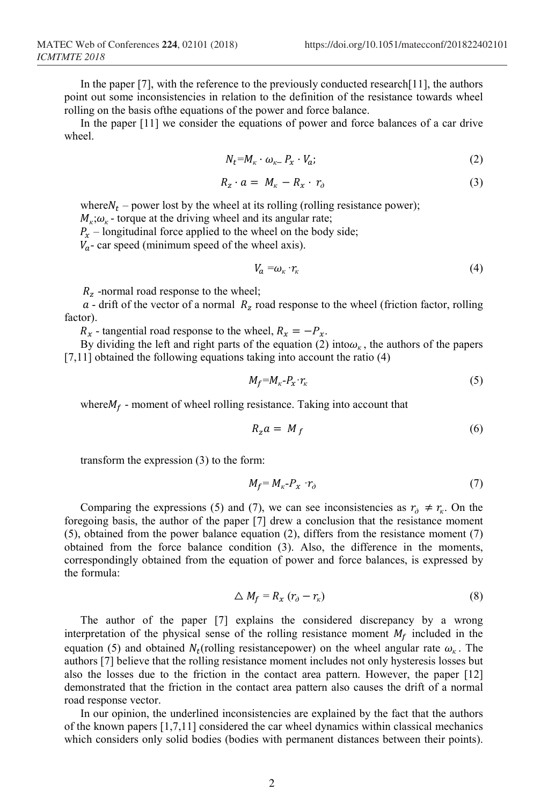In the paper [7], with the reference to the previously conducted research[11], the authors point out some inconsistencies in relation to the definition of the resistance towards wheel rolling on the basis ofthe equations of the power and force balance.

In the paper [11] we consider the equations of power and force balances of a car drive wheel.

$$
N_t = M_{\kappa} \cdot \omega_{\kappa -} P_x \cdot V_a; \tag{2}
$$

$$
R_z \cdot a = M_{\kappa} - R_x \cdot r_{\partial} \tag{3}
$$

where  $N_t$  – power lost by the wheel at its rolling (rolling resistance power);  $M_k$ ; $\omega_k$  - torque at the driving wheel and its angular rate;

 $P_x$  – longitudinal force applied to the wheel on the body side;

 $V_a$ - car speed (minimum speed of the wheel axis).

$$
V_a = \omega_\kappa \cdot r_\kappa \tag{4}
$$

 $R_{z}$  -normal road response to the wheel;

 $a$  - drift of the vector of a normal  $R<sub>z</sub>$  road response to the wheel (friction factor, rolling factor).

 $R_x$  - tangential road response to the wheel,  $R_x = -P_x$ .

By dividing the left and right parts of the equation (2) into $\omega_{k}$ , the authors of the papers [7,11] obtained the following equations taking into account the ratio (4)

$$
M_f = M_{\kappa} - P_{\chi} \cdot r_{\kappa} \tag{5}
$$

where  $M_f$  - moment of wheel rolling resistance. Taking into account that

$$
R_z a = M_f \tag{6}
$$

transform the expression (3) to the form:

$$
M_f = M_{\kappa} - P_{\kappa} \cdot r_{\partial} \tag{7}
$$

Comparing the expressions (5) and (7), we can see inconsistencies as  $r_{\phi} \neq r_{\kappa}$ . On the foregoing basis, the author of the paper [7] drew a conclusion that the resistance moment (5), obtained from the power balance equation (2), differs from the resistance moment (7) obtained from the force balance condition (3). Also, the difference in the moments, correspondingly obtained from the equation of power and force balances, is expressed by the formula:

$$
\Delta M_f = R_x (r_o - r_k) \tag{8}
$$

The author of the paper [7] explains the considered discrepancy by a wrong interpretation of the physical sense of the rolling resistance moment  $M_f$  included in the equation (5) and obtained  $N_t$  (rolling resistance power) on the wheel angular rate  $\omega_k$ . The authors [7] believe that the rolling resistance moment includes not only hysteresis losses but also the losses due to the friction in the contact area pattern. However, the paper [12] demonstrated that the friction in the contact area pattern also causes the drift of a normal road response vector.

In our opinion, the underlined inconsistencies are explained by the fact that the authors of the known papers [1,7,11] considered the car wheel dynamics within classical mechanics which considers only solid bodies (bodies with permanent distances between their points).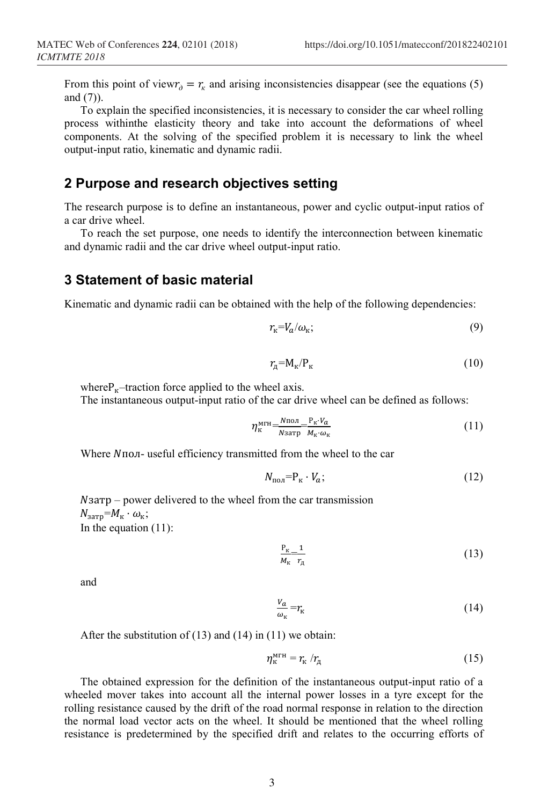From this point of view $r_a = r_k$  and arising inconsistencies disappear (see the equations (5) and (7)).

To explain the specified inconsistencies, it is necessary to consider the car wheel rolling process withinthe elasticity theory and take into account the deformations of wheel components. At the solving of the specified problem it is necessary to link the wheel output-input ratio, kinematic and dynamic radii.

### **2 Purpose and research objectives setting**

The research purpose is to define an instantaneous, power and cyclic output-input ratios of a car drive wheel.

To reach the set purpose, one needs to identify the interconnection between kinematic and dynamic radii and the car drive wheel output-input ratio.

#### **3 Statement of basic material**

Kinematic and dynamic radii can be obtained with the help of the following dependencies:

$$
r_{\rm k} = V_a/\omega_{\rm k};\tag{9}
$$

$$
r_{\rm A} = M_{\rm K}/P_{\rm K} \tag{10}
$$

where $P_{K}$ –traction force applied to the wheel axis.

The instantaneous output-input ratio of the car drive wheel can be defined as follows:

$$
\eta_{\kappa}^{\text{MTH}} = \frac{N_{\text{IOJ}}}{N_{\text{3aTP}}} \frac{P_{\kappa} \cdot V_a}{M_{\kappa} \cdot \omega_{\kappa}}
$$
\n(11)

Where  $N$ пол- useful efficiency transmitted from the wheel to the car

$$
N_{\text{no,n}} = P_{\text{k}} \cdot V_a; \tag{12}
$$

 $N<sub>3</sub>$ атр – power delivered to the wheel from the car transmission  $N_{\text{3arp}} = M_{\text{K}} \cdot \omega_{\text{K}};$ In the equation (11):

$$
\frac{P_{\kappa}}{M_{\kappa}} \frac{1}{r_{\mu}} \tag{13}
$$

and

$$
\frac{V_a}{\omega_{\kappa}} = r_{\kappa} \tag{14}
$$

After the substitution of  $(13)$  and  $(14)$  in  $(11)$  we obtain:

$$
\eta_{\kappa}^{\text{MTH}} = r_{\kappa} / r_{\mu}
$$
 (15)

The obtained expression for the definition of the instantaneous output-input ratio of a wheeled mover takes into account all the internal power losses in a tyre except for the rolling resistance caused by the drift of the road normal response in relation to the direction the normal load vector acts on the wheel. It should be mentioned that the wheel rolling resistance is predetermined by the specified drift and relates to the occurring efforts of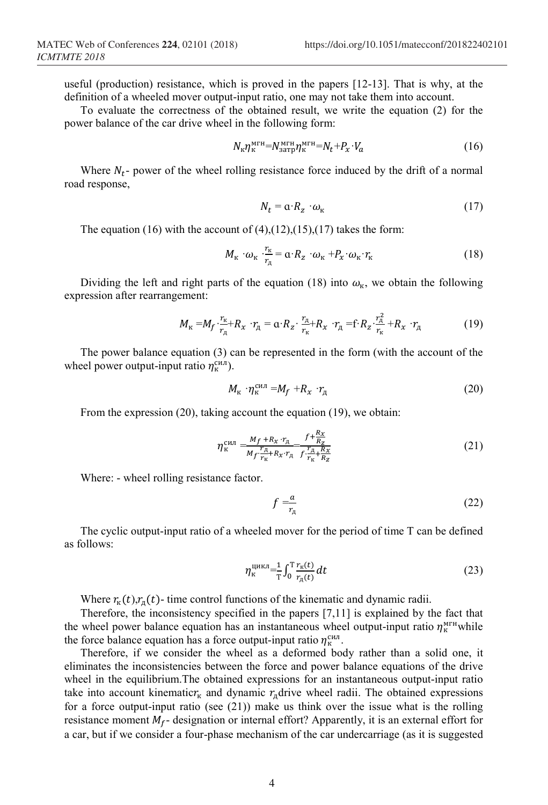useful (production) resistance, which is proved in the papers [12-13]. That is why, at the definition of a wheeled mover output-input ratio, one may not take them into account.

To evaluate the correctness of the obtained result, we write the equation (2) for the power balance of the car drive wheel in the following form:

$$
N_{\kappa}\eta_{\kappa}^{\text{MTH}} = N_{\text{3aTP}}^{\text{MTH}}\eta_{\kappa}^{\text{MTH}} = N_t + P_x \cdot V_a \tag{16}
$$

Where  $N_t$ - power of the wheel rolling resistance force induced by the drift of a normal road response,

$$
N_t = \mathbf{a} \cdot R_z \cdot \omega_{\kappa} \tag{17}
$$

The equation (16) with the account of  $(4)$ , $(12)$ , $(15)$ , $(17)$  takes the form:

$$
M_{\rm K} \cdot \omega_{\rm K} \cdot \frac{r_{\rm K}}{r_{\rm A}} = \alpha \cdot R_{\rm z} \cdot \omega_{\rm K} + P_{\rm x} \cdot \omega_{\rm K} \cdot r_{\rm K}
$$
 (18)

Dividing the left and right parts of the equation (18) into  $\omega_{\kappa}$ , we obtain the following expression after rearrangement:

$$
M_{\kappa} = M_f \cdot \frac{r_{\kappa}}{r_{\kappa}} + R_{\kappa} \cdot r_{\kappa} = \alpha \cdot R_z \cdot \frac{r_{\kappa}}{r_{\kappa}} + R_{\kappa} \cdot r_{\kappa} = f \cdot R_z \cdot \frac{r_{\kappa}^2}{r_{\kappa}} + R_{\kappa} \cdot r_{\kappa}
$$
(19)

The power balance equation (3) can be represented in the form (with the account of the wheel power output-input ratio  $\eta_{\kappa}^{cm}$ ).

$$
M_{\kappa} \cdot \eta_{\kappa}^{\text{CHJ}} = M_f + R_{\chi} \cdot r_{\mu} \tag{20}
$$

From the expression (20), taking account the equation (19), we obtain:

$$
\eta_{\kappa}^{\text{CHJ}} = \frac{M_f + R_x \cdot r_A}{M_f \cdot \frac{r_A}{r_{\kappa}} + R_x \cdot r_A} = \frac{f + \frac{R_x}{r_A}}{f \cdot \frac{r_A}{r_{\kappa}} + \frac{R_x}{r_Z}} \tag{21}
$$

Where: - wheel rolling resistance factor.

$$
f = \frac{a}{r_A} \tag{22}
$$

The cyclic output-input ratio of a wheeled mover for the period of time T can be defined as follows:

$$
\eta_{\kappa}^{\text{HKKJ}} = \frac{1}{T} \int_0^T \frac{r_{\kappa}(t)}{r_{\pi}(t)} dt \tag{23}
$$

Where  $r_{\kappa}(t)$ ,  $r_{\mu}(t)$ - time control functions of the kinematic and dynamic radii.

Therefore, the inconsistency specified in the papers [7,11] is explained by the fact that the wheel power balance equation has an instantaneous wheel output-input ratio  $\eta_{\kappa}^{\text{MTH}}$  while the force balance equation has a force output-input ratio  $\eta_{\kappa}^{cnn}$ .

Therefore, if we consider the wheel as a deformed body rather than a solid one, it eliminates the inconsistencies between the force and power balance equations of the drive wheel in the equilibrium.The obtained expressions for an instantaneous output-input ratio take into account kinematic $r_{\rm k}$  and dynamic  $r_{\rm n}$ drive wheel radii. The obtained expressions for a force output-input ratio (see  $(21)$ ) make us think over the issue what is the rolling resistance moment  $M_f$ - designation or internal effort? Apparently, it is an external effort for a car, but if we consider a four-phase mechanism of the car undercarriage (as it is suggested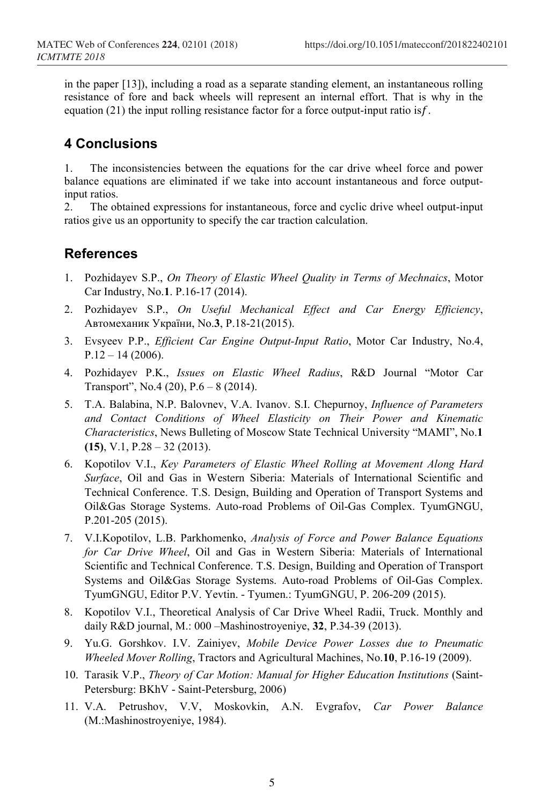in the paper [13]), including a road as a separate standing element, an instantaneous rolling resistance of fore and back wheels will represent an internal effort. That is why in the equation  $(21)$  the input rolling resistance factor for a force output-input ratio is  $f$ .

# **4 Conclusions**

1. The inconsistencies between the equations for the car drive wheel force and power balance equations are eliminated if we take into account instantaneous and force outputinput ratios.

2. The obtained expressions for instantaneous, force and cyclic drive wheel output-input ratios give us an opportunity to specify the car traction calculation.

## **References**

- 1. Pozhidayev S.P., *On Theory of Elastic Wheel Quality in Terms of Mechnaics*, Motor Car Industry, No.**1**. P.16-17 (2014).
- 2. Pozhidayev S.P., *On Useful Mechanical Effect and Car Energy Efficiency*, Автомеханик України, No.**3**, P.18-21(2015).
- 3. Evsyeev P.P., *Efficient Car Engine Output-Input Ratio*, Motor Car Industry, No.4,  $P.12 - 14(2006)$ .
- 4. Pozhidayev P.K., *Issues on Elastic Wheel Radius*, R&D Journal "Motor Car Transport", No.4 (20), P.6 – 8 (2014).
- 5. T.A. Balabina, N.P. Balovnev, V.A. Ivanov. S.I. Chepurnoy, *Influence of Parameters and Contact Conditions of Wheel Elasticity on Their Power and Kinematic Characteristics*, News Bulleting of Moscow State Technical University "MAMI", No.**1 (15)**, V.1, P.28 – 32 (2013).
- 6. Kopotilov V.I., *Key Parameters of Elastic Wheel Rolling at Movement Along Hard Surface*, Oil and Gas in Western Siberia: Materials of International Scientific and Technical Conference. T.S. Design, Building and Operation of Transport Systems and Oil&Gas Storage Systems. Auto-road Problems of Oil-Gas Complex. TyumGNGU, P.201-205 (2015).
- 7. V.I.Kopotilov, L.B. Parkhomenko, *Analysis of Force and Power Balance Equations for Car Drive Wheel*, Oil and Gas in Western Siberia: Materials of International Scientific and Technical Conference. T.S. Design, Building and Operation of Transport Systems and Oil&Gas Storage Systems. Auto-road Problems of Oil-Gas Complex. TyumGNGU, Editor P.V. Yevtin. - Tyumen.: TyumGNGU, P. 206-209 (2015).
- 8. Kopotilov V.I., Theoretical Analysis of Car Drive Wheel Radii, Truck. Monthly and daily R&D journal, M.: 000 –Mashinostroyeniye, **32**, P.34-39 (2013).
- 9. Yu.G. Gorshkov. I.V. Zainiyev, *Mobile Device Power Losses due to Pneumatic Wheeled Mover Rolling*, Tractors and Agricultural Machines, No.**10**, P.16-19 (2009).
- 10. Tarasik V.P., *Theory of Car Motion: Manual for Higher Education Institutions* (Saint-Petersburg: BKhV - Saint-Petersburg, 2006)
- 11. V.A. Petrushov, V.V, Moskovkin, A.N. Evgrafov, *Car Power Balance* (M.:Mashinostroyeniye, 1984).